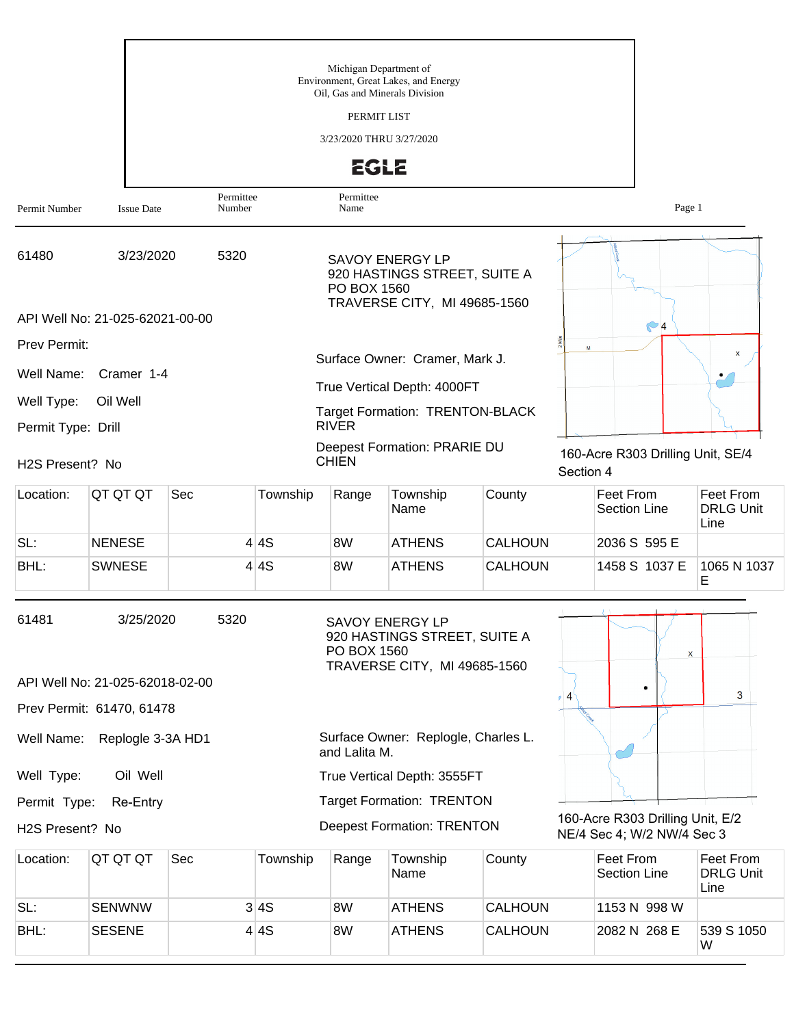|                    |                                                |                     |          | Michigan Department of<br>Oil, Gas and Minerals Division<br>PERMIT LIST<br>3/23/2020 THRU 3/27/2020<br><b>EGLE</b> | Environment, Great Lakes, and Energy                                                   |                |           |                                                                |                                              |
|--------------------|------------------------------------------------|---------------------|----------|--------------------------------------------------------------------------------------------------------------------|----------------------------------------------------------------------------------------|----------------|-----------|----------------------------------------------------------------|----------------------------------------------|
| Permit Number      | <b>Issue Date</b>                              | Permittee<br>Number |          | Permittee<br>Name                                                                                                  |                                                                                        |                |           | Page 1                                                         |                                              |
| 61480              | 3/23/2020                                      | 5320                |          | PO BOX 1560                                                                                                        | <b>SAVOY ENERGY LP</b><br>920 HASTINGS STREET, SUITE A<br>TRAVERSE CITY, MI 49685-1560 |                |           |                                                                |                                              |
|                    | API Well No: 21-025-62021-00-00                |                     |          |                                                                                                                    |                                                                                        |                |           | $\odot$ 4                                                      |                                              |
| Prev Permit:       |                                                |                     |          |                                                                                                                    | Surface Owner: Cramer, Mark J.                                                         |                | M         |                                                                | x                                            |
| Well Name:         | Cramer 1-4                                     |                     |          |                                                                                                                    | True Vertical Depth: 4000FT                                                            |                |           |                                                                |                                              |
| Well Type:         | Oil Well                                       |                     |          |                                                                                                                    | <b>Target Formation: TRENTON-BLACK</b>                                                 |                |           |                                                                |                                              |
| Permit Type: Drill |                                                |                     |          | <b>RIVER</b>                                                                                                       |                                                                                        |                |           |                                                                |                                              |
| H2S Present? No    |                                                |                     |          | <b>CHIEN</b>                                                                                                       | Deepest Formation: PRARIE DU                                                           |                | Section 4 | 160-Acre R303 Drilling Unit, SE/4                              |                                              |
| Location:          | QT QT QT                                       | Sec                 | Township | Range                                                                                                              | Township<br>Name                                                                       | County         |           | Feet From<br><b>Section Line</b>                               | <b>Feet From</b><br><b>DRLG Unit</b><br>Line |
| SL:                | <b>NENESE</b>                                  |                     | 4 4S     | 8W                                                                                                                 | <b>ATHENS</b>                                                                          | <b>CALHOUN</b> |           | 2036 S 595 E                                                   |                                              |
| BHL:               | <b>SWNESE</b>                                  |                     | 4 4S     | 8W                                                                                                                 | <b>ATHENS</b>                                                                          | <b>CALHOUN</b> |           | 1458 S 1037 E                                                  | 1065 N 1037<br>E                             |
| 61481              | 3/25/2020                                      | 5320                |          | SAVOY ENERGY LP<br>PO BOX 1560                                                                                     | 920 HASTINGS STREET, SUITE A<br>TRAVERSE CITY, MI 49685-1560                           |                |           | X                                                              |                                              |
|                    | API Well No: 21-025-62018-02-00                |                     |          |                                                                                                                    |                                                                                        |                | $\sim$ 4  |                                                                | 3                                            |
| Well Name:         | Prev Permit: 61470, 61478<br>Replogle 3-3A HD1 |                     |          | and Lalita M.                                                                                                      | Surface Owner: Replogle, Charles L.                                                    |                |           |                                                                |                                              |
| Well Type:         | Oil Well                                       |                     |          |                                                                                                                    | True Vertical Depth: 3555FT                                                            |                |           |                                                                |                                              |
| Permit Type:       | Re-Entry                                       |                     |          |                                                                                                                    | <b>Target Formation: TRENTON</b>                                                       |                |           |                                                                |                                              |
| H2S Present? No    |                                                |                     |          |                                                                                                                    | <b>Deepest Formation: TRENTON</b>                                                      |                |           | 160-Acre R303 Drilling Unit, E/2<br>NE/4 Sec 4; W/2 NW/4 Sec 3 |                                              |
| Location:          | QT QT QT                                       | Sec                 | Township | Range                                                                                                              | Township<br>Name                                                                       | County         |           | Feet From<br><b>Section Line</b>                               | Feet From<br><b>DRLG Unit</b><br>Line        |
| SL:                | <b>SENWNW</b>                                  |                     | 3 4S     | 8W                                                                                                                 | <b>ATHENS</b>                                                                          | CALHOUN        |           | 1153 N 998 W                                                   |                                              |

BHL: SESENE 4 4S 8W ATHENS CALHOUN 2082 N 268 E

539 S 1050<br>W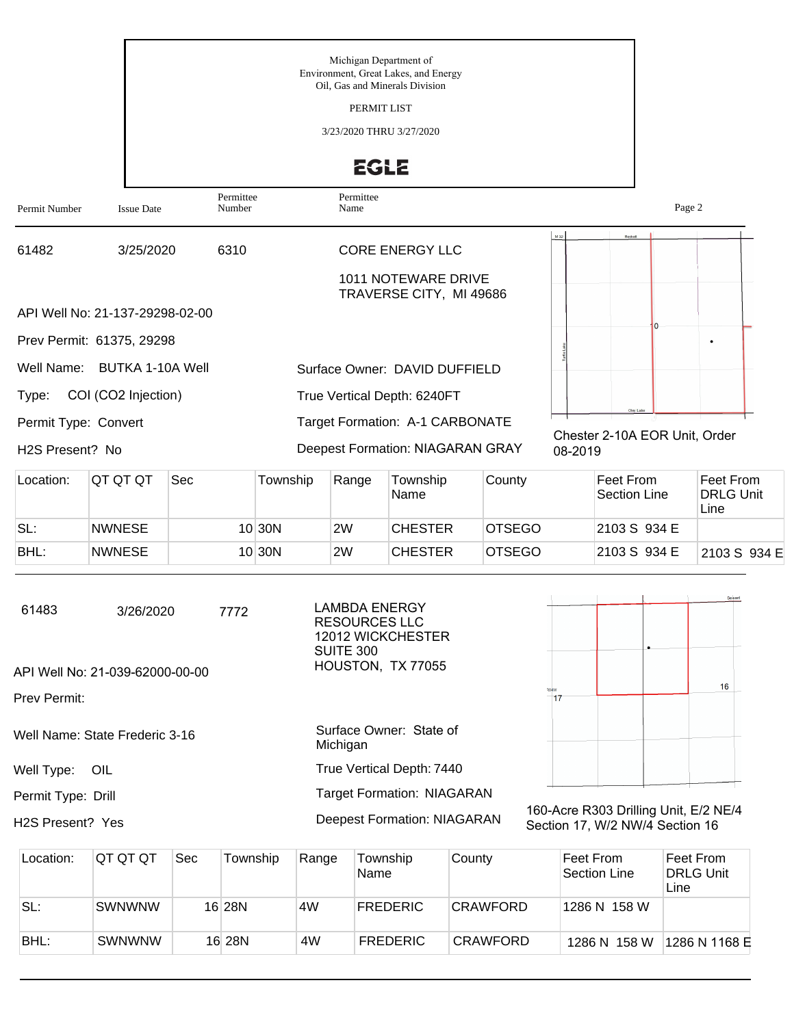|                                                      |                                                      |                     |          | Michigan Department of<br>Oil, Gas and Minerals Division<br>PERMIT LIST<br>3/23/2020 THRU 3/27/2020<br><b>EGLE</b> | Environment, Great Lakes, and Energy                                     |        |         |                                            |                                |
|------------------------------------------------------|------------------------------------------------------|---------------------|----------|--------------------------------------------------------------------------------------------------------------------|--------------------------------------------------------------------------|--------|---------|--------------------------------------------|--------------------------------|
| Permit Number                                        | <b>Issue Date</b>                                    | Permittee<br>Number |          | Permittee<br>Name                                                                                                  |                                                                          |        |         |                                            | Page 2                         |
| 61482                                                | 3/25/2020                                            | 6310                |          |                                                                                                                    | <b>CORE ENERGY LLC</b><br>1011 NOTEWARE DRIVE<br>TRAVERSE CITY, MI 49686 |        | M 32    | Beckett                                    |                                |
|                                                      | API Well No: 21-137-29298-02-00                      |                     |          |                                                                                                                    |                                                                          |        |         |                                            |                                |
| Well Name:                                           | Prev Permit: 61375, 29298<br><b>BUTKA 1-10A Well</b> |                     |          |                                                                                                                    | Surface Owner: DAVID DUFFIELD                                            |        |         |                                            | $\bullet$                      |
| Type:                                                | COI (CO2 Injection)                                  |                     |          |                                                                                                                    | True Vertical Depth: 6240FT                                              |        |         |                                            |                                |
| Permit Type: Convert<br>H <sub>2</sub> S Present? No |                                                      |                     |          |                                                                                                                    | Target Formation: A-1 CARBONATE<br>Deepest Formation: NIAGARAN GRAY      |        | 08-2019 | Oley Lake<br>Chester 2-10A EOR Unit, Order |                                |
| Location:                                            | QT QT QT                                             | Sec                 | Township | Range                                                                                                              | Township<br>Nama                                                         | County |         | Feet From<br>Section Line                  | Feet From<br><b>DRIG</b> LInit |

| Location. | ושו שו שו     | əec | TOWNSHIP | Range | TOWNSHID<br>Name | <b>COUNTY</b> | <b>Feet FIOIII</b><br>Section Line | <b>Feet FIOIII</b><br><b>DRLG Unit</b><br>Line |
|-----------|---------------|-----|----------|-------|------------------|---------------|------------------------------------|------------------------------------------------|
| SL:       | <b>NWNESE</b> |     | 10 30 N  | 2W    | <b>CHESTER</b>   | <b>OTSEGO</b> | 2103 S 934 E                       |                                                |
| BHL:      | <b>NWNESE</b> |     | 10 30 N  | 2W    | <b>CHESTER</b>   | <b>OTSEGO</b> | 2103 S 934 E                       | 2103 S 934 E                                   |

| 61483              | 3/26/2020                       | 7772 | <b>LAMBDA ENERGY</b><br><b>RESOURCES LLC</b><br>12012 WICKCHESTER<br>SUITE 300 |                      |  | Deward |
|--------------------|---------------------------------|------|--------------------------------------------------------------------------------|----------------------|--|--------|
|                    | API Well No: 21-039-62000-00-00 |      | HOUSTON, TX 77055                                                              |                      |  |        |
| Prev Permit:       |                                 |      |                                                                                |                      |  | 16     |
|                    | Well Name: State Frederic 3-16  |      | Surface Owner: State of<br>Michigan                                            |                      |  |        |
| Well Type:         | OIL                             |      | True Vertical Depth: 7440                                                      |                      |  |        |
| Permit Type: Drill |                                 |      | <b>Target Formation: NIAGARAN</b>                                              | $\sim$ $\sim$ $\sim$ |  |        |

H2S Present? Yes

160-Acre R303 Drilling Unit, E/2 NE/4 Section 17, W/2 NW/4 Section 16

| Location: | IQT QT QT     | Sec | Township | Range | Township<br>Name | County          | ∣Feet From<br>Section Line | Feet From<br><b>DRLG Unit</b><br>Line |
|-----------|---------------|-----|----------|-------|------------------|-----------------|----------------------------|---------------------------------------|
| SL:       | <b>SWNWNW</b> |     | 16 28N   | 4W    | <b>FREDERIC</b>  | <b>CRAWFORD</b> | 1286 N 158 W               |                                       |
| BHL:      | <b>SWNWNW</b> |     | 16 28N   | 4W    | <b>FREDERIC</b>  | CRAWFORD        | 1286 N 158 W               | 1286 N 1168 E                         |

Deepest Formation: NIAGARAN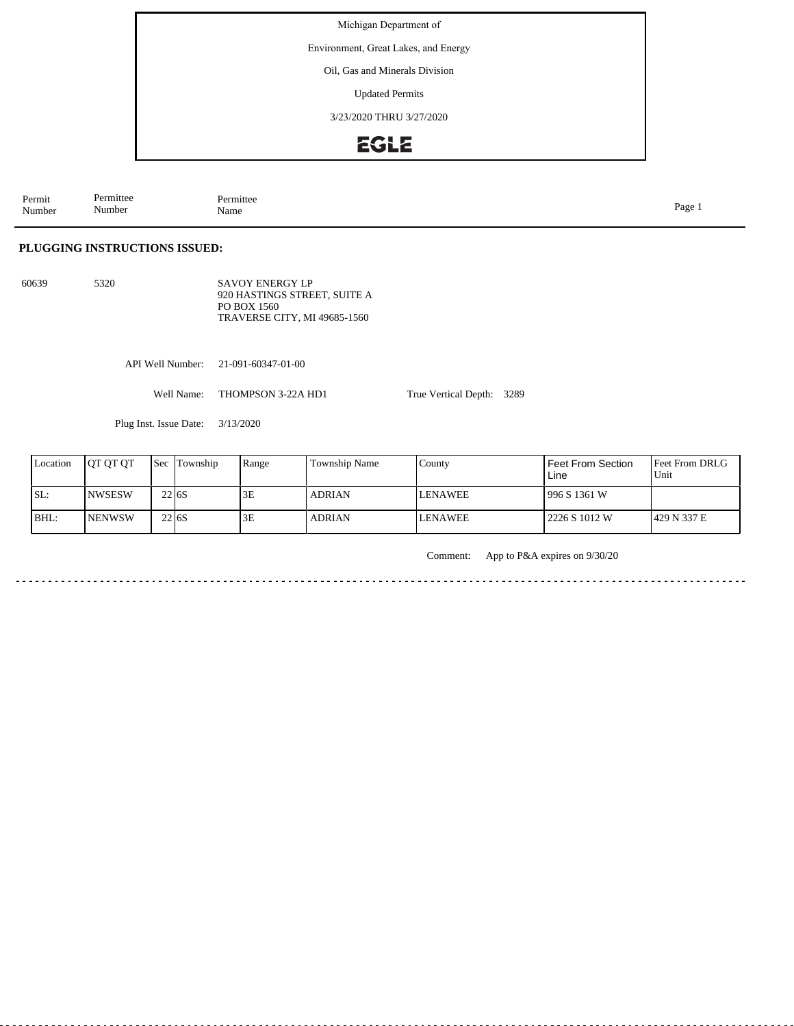Michigan Department of

Environment, Great Lakes, and Energy

Oil, Gas and Minerals Division

Updated Permits

3/23/2020 THRU 3/27/2020

## **EGLE**

Permit Number Permittee Number Permittee<br>Name Name Page 1

## **PLUGGING INSTRUCTIONS ISSUED:**

60639 5320 SAVOY ENERGY LP 920 HASTINGS STREET, SUITE A PO BOX 1560 TRAVERSE CITY, MI 49685-1560

API Well Number: 21-091-60347-01-00

Well Name: THOMPSON 3-22A HD1

Plug Inst. Issue Date: 3/13/2020

| Location | <b>IOT OT OT</b> | 'Sec              | Township | Range | Township Name | County          | Feet From Section<br>Line | <b>Feet From DRLG</b><br>Unit |
|----------|------------------|-------------------|----------|-------|---------------|-----------------|---------------------------|-------------------------------|
| SL:      | <b>NWSESW</b>    | 22 <sub>16S</sub> |          | 3E    | <b>ADRIAN</b> | <b>ILENAWEE</b> | 996 S 1361 W              |                               |
| BHL:     | <b>NENWSW</b>    | 22 <sub>16S</sub> |          | 3E    | <b>ADRIAN</b> | <b>LENAWEE</b>  | 2226 S 1012 W             | 1429 N 337 E                  |

Comment: App to P&A expires on 9/30/20

True Vertical Depth: 3289